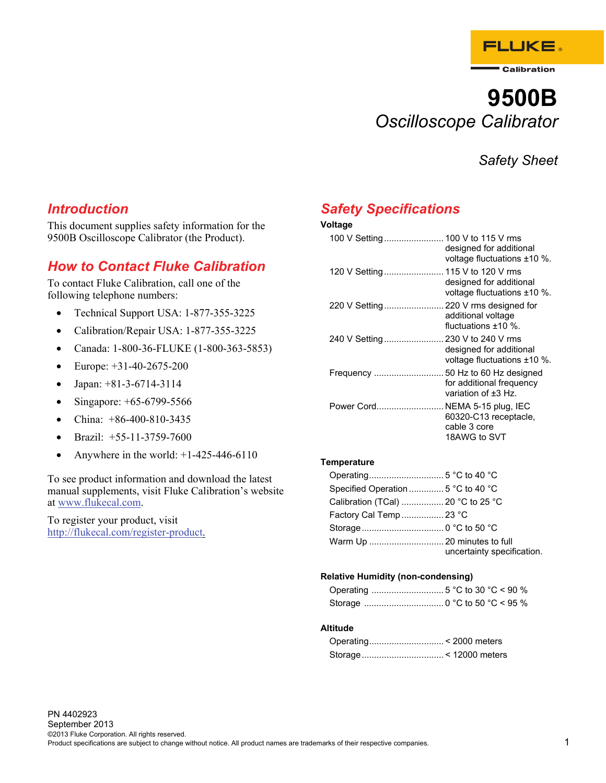

Calibration

# **9500B**  *Oscilloscope Calibrator*

*Safety Sheet* 

### *Introduction*

This document supplies safety information for the 9500B Oscilloscope Calibrator (the Product).

## *How to Contact Fluke Calibration*

To contact Fluke Calibration, call one of the following telephone numbers:

- Technical Support USA: 1-877-355-3225
- Calibration/Repair USA: 1-877-355-3225
- Canada: 1-800-36-FLUKE (1-800-363-5853)
- Europe: +31-40-2675-200
- Japan:  $+81-3-6714-3114$
- Singapore: +65-6799-5566
- China: +86-400-810-3435
- Brazil:  $+55-11-3759-7600$
- Anywhere in the world: +1-425-446-6110

To see product information and download the latest manual supplements, visit Fluke Calibration's website at www.flukecal.com.

To register your product, visit http://flukecal.com/register-product.

# *Safety Specifications*

### **Voltage**

| 100 V Setting 100 V to 115 V rms     | designed for additional<br>voltage fluctuations ±10 %.   |
|--------------------------------------|----------------------------------------------------------|
| 120 V Setting 115 V to 120 V rms     | designed for additional<br>voltage fluctuations $±10$ %. |
| 220 V Setting 220 V rms designed for | additional voltage<br>fluctuations $+10\%$ .             |
| 240 V Setting 230 V to 240 V rms     | designed for additional<br>voltage fluctuations $±10$ %. |
|                                      | for additional frequency<br>variation of $±3$ Hz.        |
| Power Cord NEMA 5-15 plug, IEC       | 60320-C13 receptacle,<br>cable 3 core<br>18AWG to SVT    |
|                                      |                                                          |

#### **Temperature**

| Calibration (TCal)  20 °C to 25 °C |                            |
|------------------------------------|----------------------------|
| Factory Cal Temp  23 °C            |                            |
|                                    |                            |
|                                    | uncertainty specification. |

#### **Relative Humidity (non-condensing)**

### **Altitude**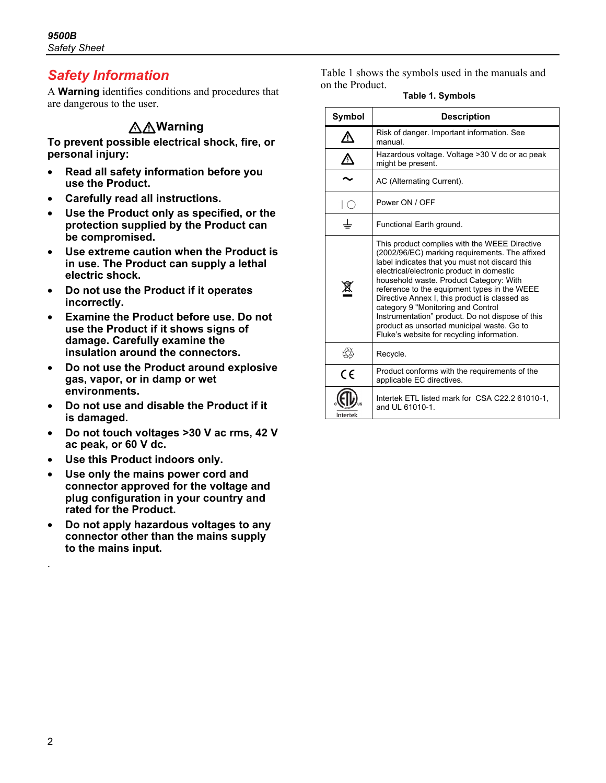# *Safety Information*

A **Warning** identifies conditions and procedures that are dangerous to the user.

### **Warning**

**To prevent possible electrical shock, fire, or personal injury:** 

- **Read all safety information before you use the Product.**
- **Carefully read all instructions.**
- **Use the Product only as specified, or the protection supplied by the Product can be compromised.**
- **Use extreme caution when the Product is in use. The Product can supply a lethal electric shock.**
- **Do not use the Product if it operates incorrectly.**
- **Examine the Product before use. Do not use the Product if it shows signs of damage. Carefully examine the insulation around the connectors.**
- **Do not use the Product around explosive gas, vapor, or in damp or wet environments.**
- **Do not use and disable the Product if it is damaged.**
- **Do not touch voltages >30 V ac rms, 42 V ac peak, or 60 V dc.**
- **Use this Product indoors only.**
- **Use only the mains power cord and connector approved for the voltage and plug configuration in your country and rated for the Product.**
- **Do not apply hazardous voltages to any connector other than the mains supply to the mains input.**

Table 1 shows the symbols used in the manuals and on the Product.

**Table 1. Symbols** 

| Symbol                   | <b>Description</b>                                                                                                                                                                                                                                                                                                                                                                                                                                                                                                               |  |
|--------------------------|----------------------------------------------------------------------------------------------------------------------------------------------------------------------------------------------------------------------------------------------------------------------------------------------------------------------------------------------------------------------------------------------------------------------------------------------------------------------------------------------------------------------------------|--|
|                          | Risk of danger. Important information. See<br>manual                                                                                                                                                                                                                                                                                                                                                                                                                                                                             |  |
| $\bigwedge$              | Hazardous voltage. Voltage >30 V dc or ac peak<br>might be present.                                                                                                                                                                                                                                                                                                                                                                                                                                                              |  |
|                          | AC (Alternating Current).                                                                                                                                                                                                                                                                                                                                                                                                                                                                                                        |  |
| $\left(\right)$          | Power ON / OFF                                                                                                                                                                                                                                                                                                                                                                                                                                                                                                                   |  |
| Functional Earth ground. |                                                                                                                                                                                                                                                                                                                                                                                                                                                                                                                                  |  |
|                          | This product complies with the WEEE Directive<br>(2002/96/EC) marking requirements. The affixed<br>label indicates that you must not discard this<br>electrical/electronic product in domestic<br>household waste. Product Category: With<br>reference to the equipment types in the WEEE<br>Directive Annex I, this product is classed as<br>category 9 "Monitoring and Control<br>Instrumentation" product. Do not dispose of this<br>product as unsorted municipal waste. Go to<br>Fluke's website for recycling information. |  |
|                          | Recycle.                                                                                                                                                                                                                                                                                                                                                                                                                                                                                                                         |  |
| $\epsilon$               | Product conforms with the requirements of the<br>applicable EC directives.                                                                                                                                                                                                                                                                                                                                                                                                                                                       |  |
| <b>Intertek</b>          | Intertek ETL listed mark for CSA C22.2 61010-1,<br>and UL 61010-1.                                                                                                                                                                                                                                                                                                                                                                                                                                                               |  |

.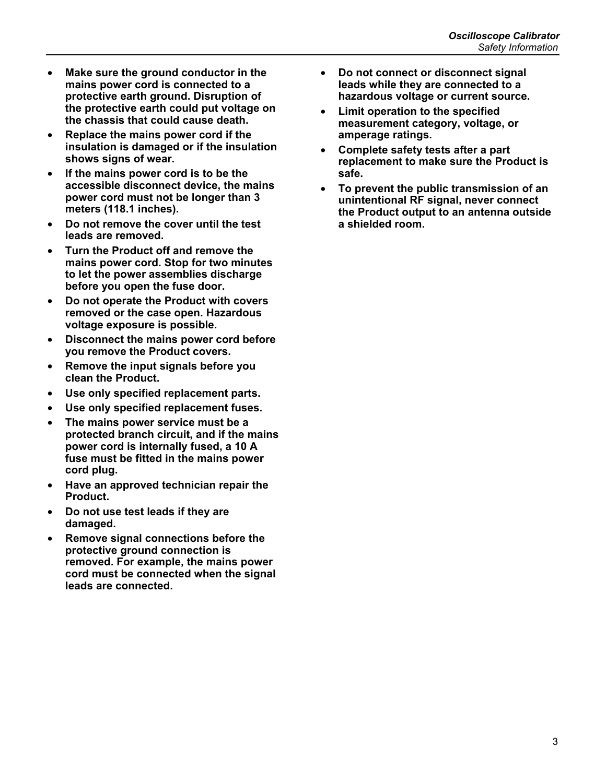- **Make sure the ground conductor in the mains power cord is connected to a protective earth ground. Disruption of the protective earth could put voltage on the chassis that could cause death.**
- **Replace the mains power cord if the insulation is damaged or if the insulation shows signs of wear.**
- **If the mains power cord is to be the accessible disconnect device, the mains power cord must not be longer than 3 meters (118.1 inches).**
- **Do not remove the cover until the test leads are removed.**
- **Turn the Product off and remove the mains power cord. Stop for two minutes to let the power assemblies discharge before you open the fuse door.**
- **Do not operate the Product with covers removed or the case open. Hazardous voltage exposure is possible.**
- **Disconnect the mains power cord before you remove the Product covers.**
- **Remove the input signals before you clean the Product.**
- **Use only specified replacement parts.**
- **Use only specified replacement fuses.**
- **The mains power service must be a protected branch circuit, and if the mains power cord is internally fused, a 10 A fuse must be fitted in the mains power cord plug.**
- **Have an approved technician repair the Product.**
- **Do not use test leads if they are damaged.**
- **Remove signal connections before the protective ground connection is removed. For example, the mains power cord must be connected when the signal leads are connected.**
- **Do not connect or disconnect signal leads while they are connected to a hazardous voltage or current source.**
- **Limit operation to the specified measurement category, voltage, or amperage ratings.**
- **Complete safety tests after a part replacement to make sure the Product is safe.**
- **To prevent the public transmission of an unintentional RF signal, never connect the Product output to an antenna outside a shielded room.**